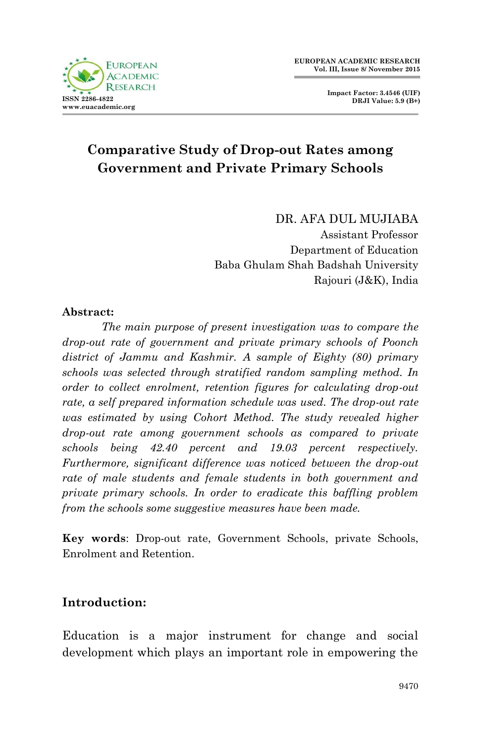



# **Comparative Study of Drop-out Rates among Government and Private Primary Schools**

DR. AFA DUL MUJIABA Assistant Professor Department of Education Baba Ghulam Shah Badshah University Rajouri (J&K), India

#### **Abstract:**

*The main purpose of present investigation was to compare the drop-out rate of government and private primary schools of Poonch district of Jammu and Kashmir. A sample of Eighty (80) primary schools was selected through stratified random sampling method. In order to collect enrolment, retention figures for calculating drop-out rate, a self prepared information schedule was used. The drop-out rate was estimated by using Cohort Method. The study revealed higher drop-out rate among government schools as compared to private schools being 42.40 percent and 19.03 percent respectively. Furthermore, significant difference was noticed between the drop-out rate of male students and female students in both government and private primary schools. In order to eradicate this baffling problem from the schools some suggestive measures have been made.*

**Key words**: Drop-out rate, Government Schools, private Schools, Enrolment and Retention.

## **Introduction:**

Education is a major instrument for change and social development which plays an important role in empowering the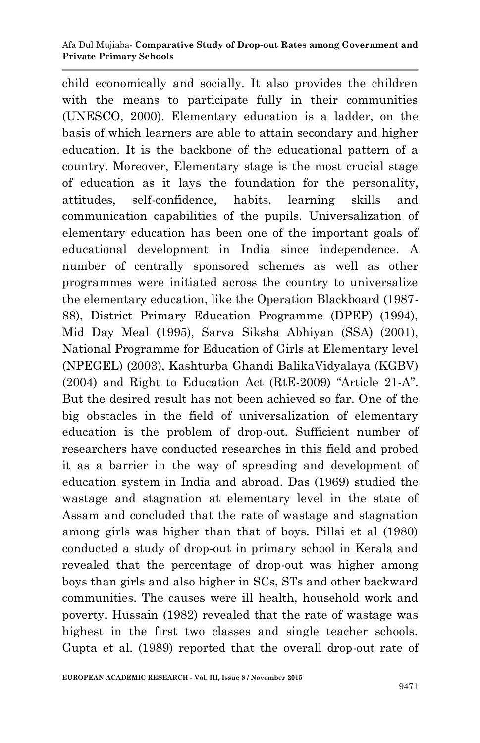#### Afa Dul Mujiaba*-* **Comparative Study of Drop-out Rates among Government and Private Primary Schools**

child economically and socially. It also provides the children with the means to participate fully in their communities (UNESCO, 2000). Elementary education is a ladder, on the basis of which learners are able to attain secondary and higher education. It is the backbone of the educational pattern of a country. Moreover, Elementary stage is the most crucial stage of education as it lays the foundation for the personality, attitudes, self-confidence, habits, learning skills and communication capabilities of the pupils. Universalization of elementary education has been one of the important goals of educational development in India since independence. A number of centrally sponsored schemes as well as other programmes were initiated across the country to universalize the elementary education, like the Operation Blackboard (1987- 88), District Primary Education Programme (DPEP) (1994), Mid Day Meal (1995), Sarva Siksha Abhiyan (SSA) (2001), National Programme for Education of Girls at Elementary level (NPEGEL) (2003), Kashturba Ghandi BalikaVidyalaya (KGBV) (2004) and Right to Education Act (RtE-2009) "Article 21-A". But the desired result has not been achieved so far. One of the big obstacles in the field of universalization of elementary education is the problem of drop-out. Sufficient number of researchers have conducted researches in this field and probed it as a barrier in the way of spreading and development of education system in India and abroad. Das (1969) studied the wastage and stagnation at elementary level in the state of Assam and concluded that the rate of wastage and stagnation among girls was higher than that of boys. Pillai et al (1980) conducted a study of drop-out in primary school in Kerala and revealed that the percentage of drop-out was higher among boys than girls and also higher in SCs, STs and other backward communities. The causes were ill health, household work and poverty. Hussain (1982) revealed that the rate of wastage was highest in the first two classes and single teacher schools. Gupta et al. (1989) reported that the overall drop-out rate of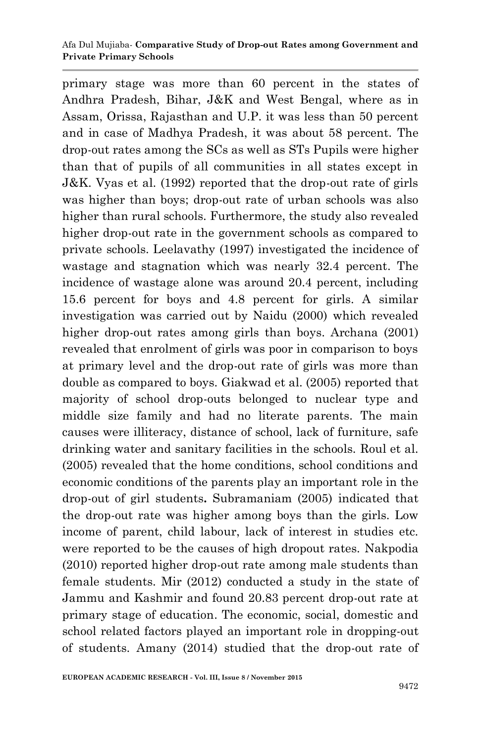primary stage was more than 60 percent in the states of Andhra Pradesh, Bihar, J&K and West Bengal, where as in Assam, Orissa, Rajasthan and U.P. it was less than 50 percent and in case of Madhya Pradesh, it was about 58 percent. The drop-out rates among the SCs as well as STs Pupils were higher than that of pupils of all communities in all states except in J&K. Vyas et al. (1992) reported that the drop-out rate of girls was higher than boys; drop-out rate of urban schools was also higher than rural schools. Furthermore, the study also revealed higher drop-out rate in the government schools as compared to private schools. Leelavathy (1997) investigated the incidence of wastage and stagnation which was nearly 32.4 percent. The incidence of wastage alone was around 20.4 percent, including 15.6 percent for boys and 4.8 percent for girls. A similar investigation was carried out by Naidu (2000) which revealed higher drop-out rates among girls than boys. Archana (2001) revealed that enrolment of girls was poor in comparison to boys at primary level and the drop-out rate of girls was more than double as compared to boys. Giakwad et al. (2005) reported that majority of school drop-outs belonged to nuclear type and middle size family and had no literate parents. The main causes were illiteracy, distance of school, lack of furniture, safe drinking water and sanitary facilities in the schools. Roul et al. (2005) revealed that the home conditions, school conditions and economic conditions of the parents play an important role in the drop-out of girl students**.** Subramaniam (2005) indicated that the drop-out rate was higher among boys than the girls. Low income of parent, child labour, lack of interest in studies etc. were reported to be the causes of high dropout rates. Nakpodia (2010) reported higher drop-out rate among male students than female students. Mir (2012) conducted a study in the state of Jammu and Kashmir and found 20.83 percent drop-out rate at primary stage of education. The economic, social, domestic and school related factors played an important role in dropping-out of students. Amany (2014) studied that the drop-out rate of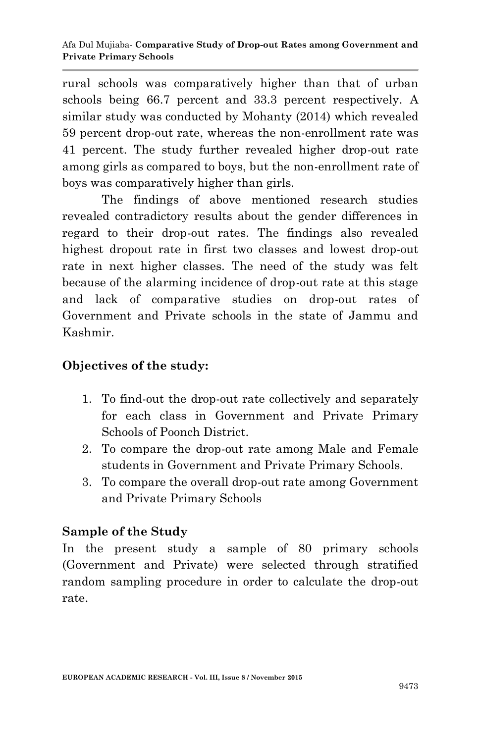rural schools was comparatively higher than that of urban schools being 66.7 percent and 33.3 percent respectively. A similar study was conducted by Mohanty (2014) which revealed 59 percent drop-out rate, whereas the non-enrollment rate was 41 percent. The study further revealed higher drop-out rate among girls as compared to boys, but the non-enrollment rate of boys was comparatively higher than girls.

The findings of above mentioned research studies revealed contradictory results about the gender differences in regard to their drop-out rates. The findings also revealed highest dropout rate in first two classes and lowest drop-out rate in next higher classes. The need of the study was felt because of the alarming incidence of drop-out rate at this stage and lack of comparative studies on drop-out rates of Government and Private schools in the state of Jammu and Kashmir.

## **Objectives of the study:**

- 1. To find-out the drop-out rate collectively and separately for each class in Government and Private Primary Schools of Poonch District.
- 2. To compare the drop-out rate among Male and Female students in Government and Private Primary Schools.
- 3. To compare the overall drop-out rate among Government and Private Primary Schools

# **Sample of the Study**

In the present study a sample of 80 primary schools (Government and Private) were selected through stratified random sampling procedure in order to calculate the drop-out rate.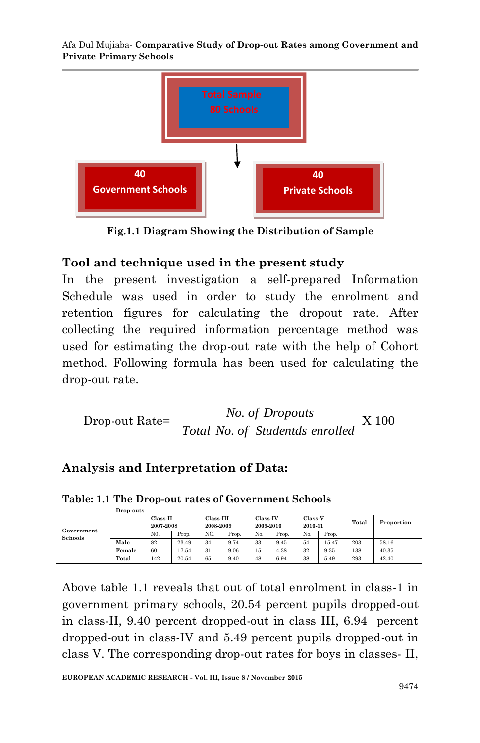Afa Dul Mujiaba*-* **Comparative Study of Drop-out Rates among Government and Private Primary Schools**



**Fig.1.1 Diagram Showing the Distribution of Sample 150**

## **Tool and technique used in the present study**

In the present investigation a self-prepared Information Schedule was used in order to study the enrolment and retention figures for calculating the dropout rate. After collecting the required information percentage method was used for estimating the drop-out rate with the help of Cohort method. Following formula has been used for calculating the drop-out rate.

Drop-out Rate= 
$$
\frac{No. \text{ of \textit{Dropouts}}}{Total \text{ No. of \textit{Students enrolled}}}
$$
 X 100

## **Analysis and Interpretation of Data:**

|                              | Drop-outs |                         |       |                          |       |                       |       |                           |       |       |            |
|------------------------------|-----------|-------------------------|-------|--------------------------|-------|-----------------------|-------|---------------------------|-------|-------|------------|
| Government<br><b>Schools</b> |           | $Class-II$<br>2007-2008 |       | $Class-III$<br>2008-2009 |       | Class-IV<br>2009-2010 |       | <b>Class-V</b><br>2010-11 |       | Total | Proportion |
|                              |           | N <sub>0</sub>          | Prop. | NO.                      | Prop. | No.                   | Prop. | No.                       | Prop. |       |            |
|                              | Male      | 82                      | 23.49 | 34                       | 9.74  | 33                    | 9.45  | 54                        | 15.47 | 203   | 58.16      |
|                              | Female    | 60                      | 17.54 | 31                       | 9.06  | 15                    | 4.38  | 32                        | 9.35  | 138   | 40.35      |
|                              | Total     | 142                     | 20.54 | 65                       | 9.40  | 48                    | 6.94  | 38                        | 5.49  | 293   | 42.40      |

**Table: 1.1 The Drop-out rates of Government Schools**

Above table 1.1 reveals that out of total enrolment in class-1 in government primary schools, 20.54 percent pupils dropped-out in class-II, 9.40 percent dropped-out in class III, 6.94 percent dropped-out in class-IV and 5.49 percent pupils dropped-out in class V. The corresponding drop-out rates for boys in classes- II,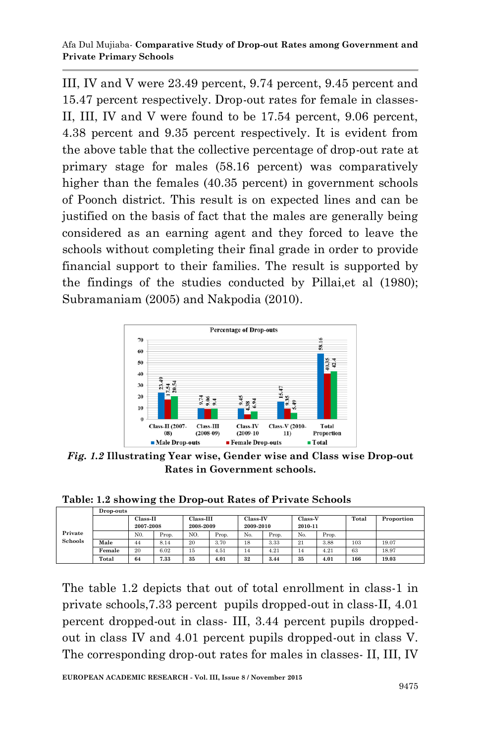III, IV and V were 23.49 percent, 9.74 percent, 9.45 percent and 15.47 percent respectively. Drop-out rates for female in classes-II, III, IV and V were found to be 17.54 percent, 9.06 percent, 4.38 percent and 9.35 percent respectively. It is evident from the above table that the collective percentage of drop-out rate at primary stage for males (58.16 percent) was comparatively higher than the females (40.35 percent) in government schools of Poonch district. This result is on expected lines and can be justified on the basis of fact that the males are generally being considered as an earning agent and they forced to leave the schools without completing their final grade in order to provide financial support to their families. The result is supported by the findings of the studies conducted by Pillai,et al (1980); Subramaniam (2005) and Nakpodia (2010).



*Fig. 1.2* **Illustrating Year wise, Gender wise and Class wise Drop-out Rates in Government schools.**

**Table: 1.2 showing the Drop-out Rates of Private Schools**

|                           | Drop-outs  |                |           |           |                 |           |         |         |       |            |       |  |
|---------------------------|------------|----------------|-----------|-----------|-----------------|-----------|---------|---------|-------|------------|-------|--|
| Private<br><b>Schools</b> | $Class-II$ |                | Class-III |           | <b>Class-IV</b> |           | Class-V |         | Total | Proportion |       |  |
|                           |            | 2007-2008      |           | 2008-2009 |                 | 2009-2010 |         | 2010-11 |       |            |       |  |
|                           |            | N <sub>0</sub> | Prop.     | NO.       | Prop.           | No.       | Prop.   | No.     | Prop. |            |       |  |
|                           | Male       | 44             | 8.14      | 20        | 3.70            | 18        | 3.33    | 21      | 3.88  | 103        | 19.07 |  |
|                           | Female     | 20             | 6.02      | 15        | 4.51            | 14        | 4.21    | 14      | 4.21  | 63         | 18.97 |  |
|                           | Total      | 64             | 7.33      | 35        | 4.01            | 32        | 3.44    | 35      | 4.01  | 166        | 19.03 |  |

The table 1.2 depicts that out of total enrollment in class-1 in private schools,7.33 percent pupils dropped-out in class-II, 4.01 percent dropped-out in class- III, 3.44 percent pupils droppedout in class IV and 4.01 percent pupils dropped-out in class V. The corresponding drop-out rates for males in classes- II, III, IV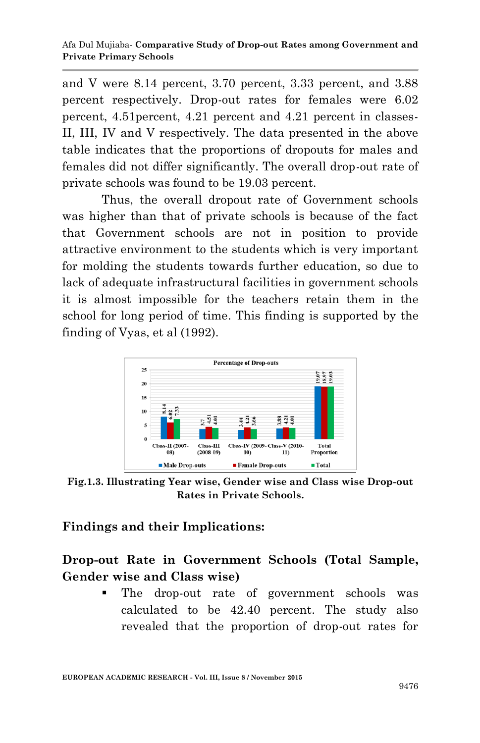and V were 8.14 percent, 3.70 percent, 3.33 percent, and 3.88 percent respectively. Drop-out rates for females were 6.02 percent, 4.51percent, 4.21 percent and 4.21 percent in classes-II, III, IV and V respectively. The data presented in the above table indicates that the proportions of dropouts for males and females did not differ significantly. The overall drop-out rate of private schools was found to be 19.03 percent.

Thus, the overall dropout rate of Government schools was higher than that of private schools is because of the fact that Government schools are not in position to provide attractive environment to the students which is very important for molding the students towards further education, so due to lack of adequate infrastructural facilities in government schools it is almost impossible for the teachers retain them in the school for long period of time. This finding is supported by the finding of Vyas, et al (1992).



**Fig.1.3. Illustrating Year wise, Gender wise and Class wise Drop-out Rates in Private Schools.**

#### **Findings and their Implications:**

**Drop-out Rate in Government Schools (Total Sample, Gender wise and Class wise)**

> The drop-out rate of government schools was calculated to be 42.40 percent. The study also revealed that the proportion of drop-out rates for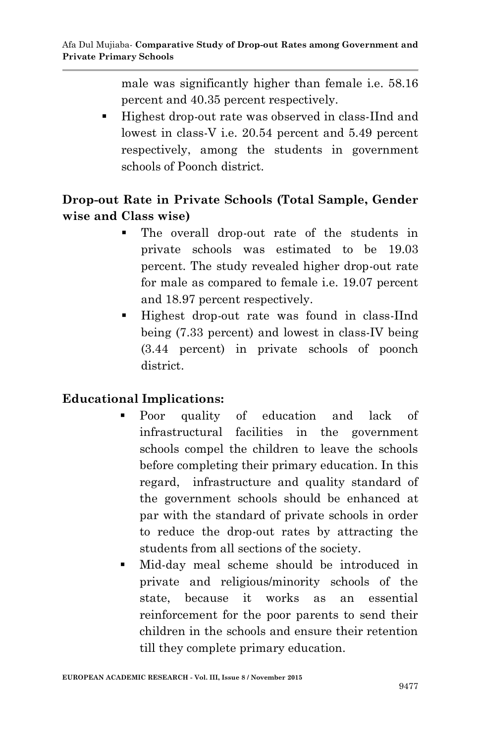male was significantly higher than female i.e. 58.16 percent and 40.35 percent respectively.

 Highest drop-out rate was observed in class-IInd and lowest in class-V i.e. 20.54 percent and 5.49 percent respectively, among the students in government schools of Poonch district.

# **Drop-out Rate in Private Schools (Total Sample, Gender wise and Class wise)**

- The overall drop-out rate of the students in private schools was estimated to be 19.03 percent. The study revealed higher drop-out rate for male as compared to female i.e. 19.07 percent and 18.97 percent respectively.
- Highest drop-out rate was found in class-IInd being (7.33 percent) and lowest in class-IV being (3.44 percent) in private schools of poonch district.

# **Educational Implications:**

- Poor quality of education and lack of infrastructural facilities in the government schools compel the children to leave the schools before completing their primary education. In this regard, infrastructure and quality standard of the government schools should be enhanced at par with the standard of private schools in order to reduce the drop-out rates by attracting the students from all sections of the society.
- Mid-day meal scheme should be introduced in private and religious/minority schools of the state, because it works as an essential reinforcement for the poor parents to send their children in the schools and ensure their retention till they complete primary education.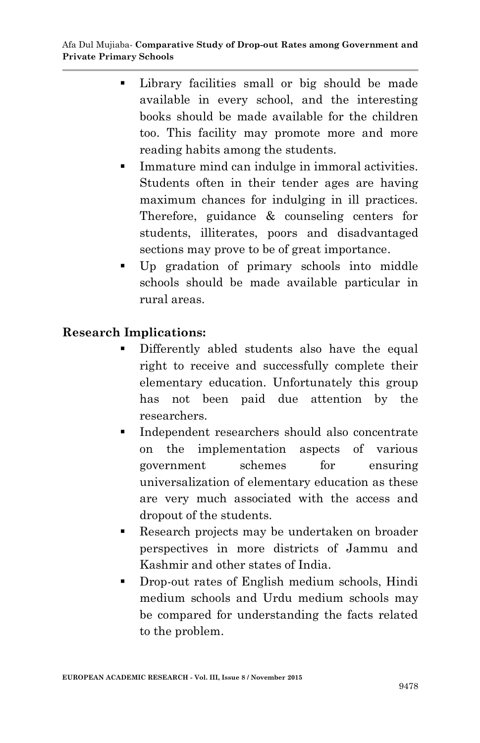- Library facilities small or big should be made available in every school, and the interesting books should be made available for the children too. This facility may promote more and more reading habits among the students.
- **Immature mind can indulge in immoral activities.** Students often in their tender ages are having maximum chances for indulging in ill practices. Therefore, guidance & counseling centers for students, illiterates, poors and disadvantaged sections may prove to be of great importance.
- Up gradation of primary schools into middle schools should be made available particular in rural areas.

#### **Research Implications:**

- Differently abled students also have the equal right to receive and successfully complete their elementary education. Unfortunately this group has not been paid due attention by the researchers.
- Independent researchers should also concentrate on the implementation aspects of various government schemes for ensuring universalization of elementary education as these are very much associated with the access and dropout of the students.
- Research projects may be undertaken on broader perspectives in more districts of Jammu and Kashmir and other states of India.
- **Drop-out rates of English medium schools, Hindi** medium schools and Urdu medium schools may be compared for understanding the facts related to the problem.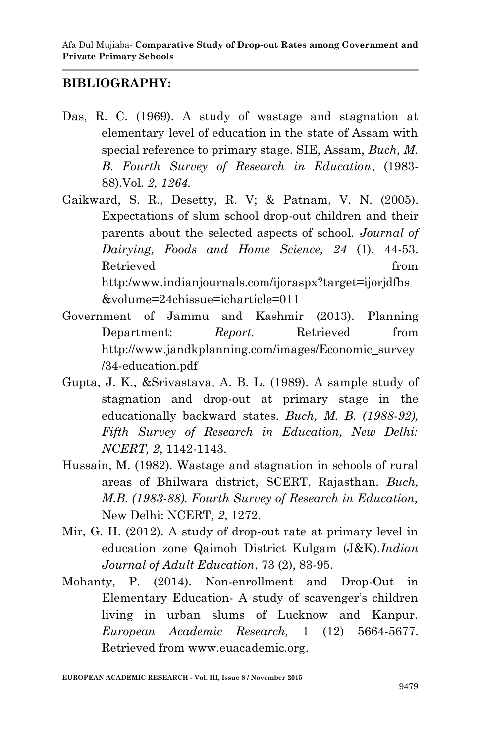#### **BIBLIOGRAPHY:**

- Das, R. C. (1969). A study of wastage and stagnation at elementary level of education in the state of Assam with special reference to primary stage. SIE, Assam, *Buch, M. B. Fourth Survey of Research in Education*, (1983- 88).Vol. *2, 1264.*
- Gaikward, S. R., Desetty, R. V; & Patnam, V. N. (2005). Expectations of slum school drop-out children and their parents about the selected aspects of school. *Journal of Dairying, Foods and Home Science, 24* (1), 44-53. Retrieved from the set of  $\mathbb{R}^n$  from the set of  $\mathbb{R}^n$  from the set of  $\mathbb{R}^n$  from the set of  $\mathbb{R}^n$  from the set of  $\mathbb{R}^n$  from the set of  $\mathbb{R}^n$  from the set of  $\mathbb{R}^n$  from the set of  $\mathbb{R}$ http:/www.indianjournals.com/ijoraspx?target=ijorjdfhs &volume=24chissue=icharticle=011
- Government of Jammu and Kashmir (2013). Planning Department: *Report.* Retrieved from http://www.jandkplanning.com/images/Economic\_survey /34-education.pdf
- Gupta, J. K., &Srivastava, A. B. L. (1989). A sample study of stagnation and drop-out at primary stage in the educationally backward states. *Buch, M. B. (1988-92), Fifth Survey of Research in Education, New Delhi: NCERT, 2*, 1142-1143.
- Hussain, M. (1982). Wastage and stagnation in schools of rural areas of Bhilwara district, SCERT, Rajasthan. *Buch, M.B. (1983-88). Fourth Survey of Research in Education,*  New Delhi: NCERT*, 2*, 1272.
- Mir, G. H. (2012). A study of drop-out rate at primary level in education zone Qaimoh District Kulgam (J&K).*Indian Journal of Adult Education*, 73 (2), 83-95.
- Mohanty, P. (2014). Non-enrollment and Drop-Out in Elementary Education- A study of scavenger's children living in urban slums of Lucknow and Kanpur. *European Academic Research,* 1 (12) 5664-5677. Retrieved from www.euacademic.org.